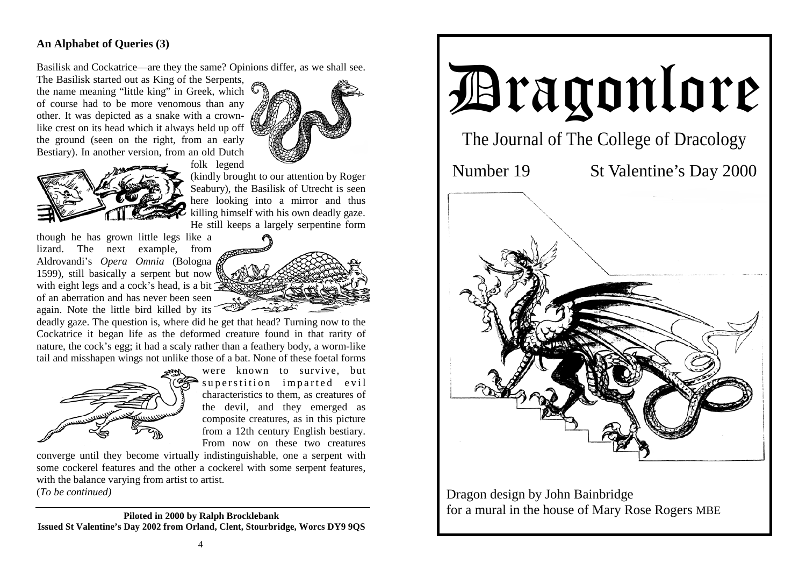## **An Alphabet of Queries (3)**

Basilisk and Cockatrice—are they the same? Opinions differ, as we shall see.

The Basilisk started out as King of the Serpents, the name meaning "little king" in Greek, which of course had to be more venomous than any other. It was depicted as a snake with a crownlike crest on its head which it always held up off the ground (seen on the right, from an early Bestiary). In another version, from an old Dutch



folk legend



(kindly brought to our attention by Roger Seabury), the Basilisk of Utrecht is seen here looking into a mirror and thus killing himself with his own deadly gaze. He still keeps a largely serpentine form

though he has grown little legs like a lizard. The next example, from Aldrovandi's *Opera Omnia* (Bologna 1599), still basically a serpent but now with eight legs and a cock's head, is a bit of an aberration and has never been seen again. Note the little bird killed by its

deadly gaze. The question is, where did he get that head? Turning now to the Cockatrice it began life as the deformed creature found in that rarity of nature, the cock's egg; it had a scaly rather than a feathery body, a worm-like tail and misshapen wings not unlike those of a bat. None of these foetal forms



were known to survive, but superstition imparted evil characteristics to them, as creatures of the devil, and they emerged as composite creatures, as in this picture from a 12th century English bestiary. From now on these two creatures

converge until they become virtually indistinguishable, one a serpent with some cockerel features and the other a cockerel with some serpent features, with the balance varying from artist to artist.

(*To be continued)* 

**Piloted in 2000 by Ralph Brocklebank Issued St Valentine's Day 2002 from Orland, Clent, Stourbridge, Worcs DY9 9QS** 



Dragon design by John Bainbridge for a mural in the house of Mary Rose Rogers MBE